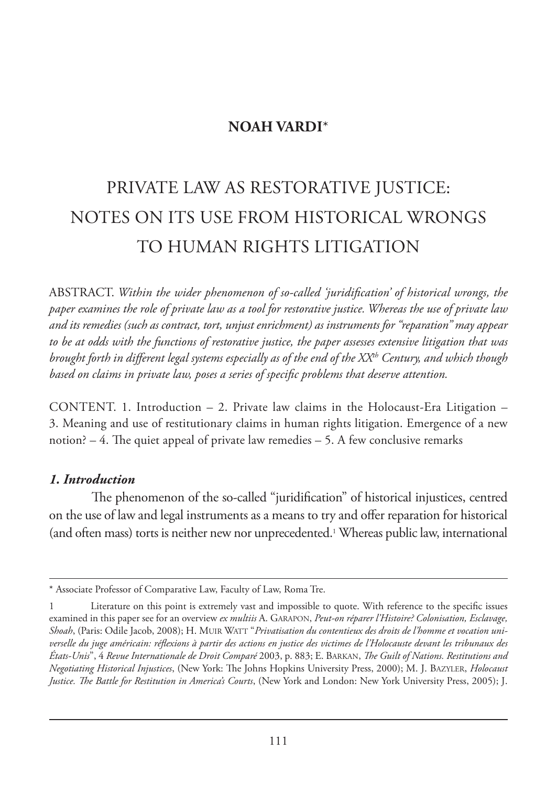# **NOAH VARDI**\*

# PRIVATE LAW AS RESTORATIVE JUSTICE: NOTES ON ITS USE FROM HISTORICAL WRONGS TO HUMAN RIGHTS LITIGATION

ABSTRACT. *Within the wider phenomenon of so-called 'juridification' of historical wrongs, the paper examines the role of private law as a tool for restorative justice. Whereas the use of private law and its remedies (such as contract, tort, unjust enrichment) as instruments for "reparation" may appear to be at odds with the functions of restorative justice, the paper assesses extensive litigation that was brought forth in different legal systems especially as of the end of the XXth Century, and which though based on claims in private law, poses a series of specific problems that deserve attention.*

CONTENT. 1. Introduction  $-2$ . Private law claims in the Holocaust-Era Litigation  $-$ 3. Meaning and use of restitutionary claims in human rights litigation. Emergence of a new notion? – 4. The quiet appeal of private law remedies – 5. A few conclusive remarks

#### *1. Introduction*

The phenomenon of the so-called "juridification" of historical injustices, centred on the use of law and legal instruments as a means to try and offer reparation for historical (and often mass) torts is neither new nor unprecedented.<sup>1</sup> Whereas public law, international

<sup>\*</sup> Associate Professor of Comparative Law, Faculty of Law, Roma Tre.

<sup>1</sup> Literature on this point is extremely vast and impossible to quote. With reference to the specific issues examined in this paper see for an overview *ex multiis* A. GARAPON, *Peut-on réparer l'Histoire? Colonisation, Esclavage, Shoah*, (Paris: Odile Jacob, 2008); H. MUIR WATT "*Privatisation du contentieux des droits de l'homme et vocation universelle du juge américain: réflexions à partir des actions en justice des victimes de l'Holocauste devant les tribunaux des États-Unis*", 4 *Revue Internationale de Droit Comparé* 2003, p. 883; E. BARKAN, *The Guilt of Nations. Restitutions and Negotiating Historical Injustices*, (New York: The Johns Hopkins University Press, 2000); M. J. BAZYLER, *Holocaust Justice. The Battle for Restitution in America's Courts*, (New York and London: New York University Press, 2005); J.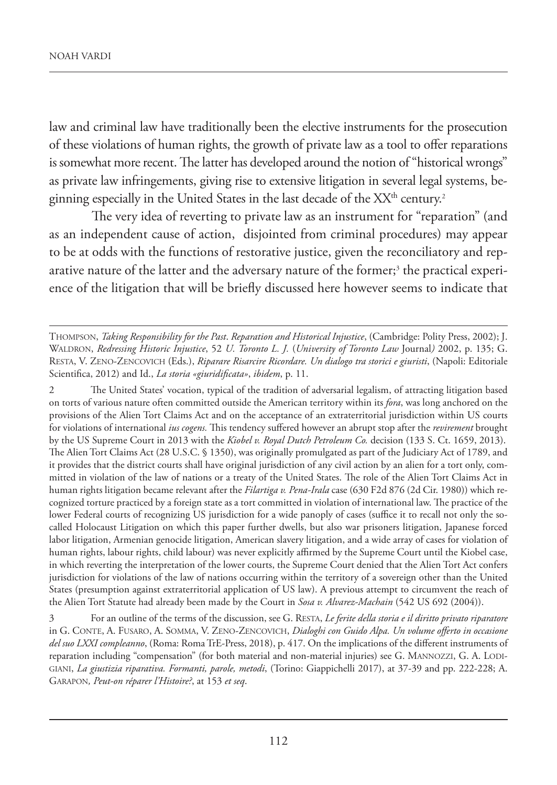law and criminal law have traditionally been the elective instruments for the prosecution of these violations of human rights, the growth of private law as a tool to offer reparations is somewhat more recent. The latter has developed around the notion of "historical wrongs" as private law infringements, giving rise to extensive litigation in several legal systems, beginning especially in the United States in the last decade of the XX<sup>th</sup> century.<sup>2</sup>

The very idea of reverting to private law as an instrument for "reparation" (and as an independent cause of action, disjointed from criminal procedures) may appear to be at odds with the functions of restorative justice, given the reconciliatory and reparative nature of the latter and the adversary nature of the former;<sup>3</sup> the practical experience of the litigation that will be briefly discussed here however seems to indicate that

2 The United States' vocation, typical of the tradition of adversarial legalism, of attracting litigation based on torts of various nature often committed outside the American territory within its *fora*, was long anchored on the provisions of the Alien Tort Claims Act and on the acceptance of an extraterritorial jurisdiction within US courts for violations of international *ius cogens.* This tendency suffered however an abrupt stop after the *revirement* brought by the US Supreme Court in 2013 with the *Kiobel v. Royal Dutch Petroleum Co.* decision (133 S. Ct. 1659, 2013). The Alien Tort Claims Act (28 U.S.C. § 1350), was originally promulgated as part of the Judiciary Act of 1789, and it provides that the district courts shall have original jurisdiction of any civil action by an alien for a tort only, committed in violation of the law of nations or a treaty of the United States. The role of the Alien Tort Claims Act in human rights litigation became relevant after the *Filartiga v. Pena-Irala* case (630 F2d 876 (2d Cir. 1980)) which recognized torture practiced by a foreign state as a tort committed in violation of international law. The practice of the lower Federal courts of recognizing US jurisdiction for a wide panoply of cases (suffice it to recall not only the socalled Holocaust Litigation on which this paper further dwells, but also war prisoners litigation, Japanese forced labor litigation, Armenian genocide litigation, American slavery litigation, and a wide array of cases for violation of human rights, labour rights, child labour) was never explicitly affirmed by the Supreme Court until the Kiobel case, in which reverting the interpretation of the lower courts, the Supreme Court denied that the Alien Tort Act confers jurisdiction for violations of the law of nations occurring within the territory of a sovereign other than the United States (presumption against extraterritorial application of US law). A previous attempt to circumvent the reach of the Alien Tort Statute had already been made by the Court in *Sosa v. Alvarez-Machain* (542 US 692 (2004)).

THOMPSON, *Taking Responsibility for the Past*. *Reparation and Historical Injustice*, (Cambridge: Polity Press, 2002); J. WALDRON, *Redressing Historic Injustice*, 52 *U. Toronto L. J.* (*University of Toronto Law* Journal*)* 2002, p. 135; G. RESTA, V. ZENO-ZENCOVICH (Eds.), *Riparare Risarcire Ricordare. Un dialogo tra storici e giuristi*, (Napoli: Editoriale Scientifica, 2012) and Id., *La storia «giuridificata»*, *ibidem*, p. 11.

<sup>3</sup> For an outline of the terms of the discussion, see G. RESTA, *Le ferite della storia e il diritto privato riparatore* in G. CONTE, A. FUSARO, A. SOMMA, V. ZENO-ZENCOVICH, *Dialoghi con Guido Alpa. Un volume offerto in occasione del suo LXXI compleanno*, (Roma: Roma TrE-Press, 2018), p. 417. On the implications of the different instruments of reparation including "compensation" (for both material and non-material injuries) see G. MANNOZZI, G. A. LODI-GIANI, *La giustizia riparativa. Formanti, parole, metodi*, (Torino: Giappichelli 2017), at 37-39 and pp. 222-228; A. GARAPON*, Peut-on réparer l'Histoire?*, at 153 *et seq*.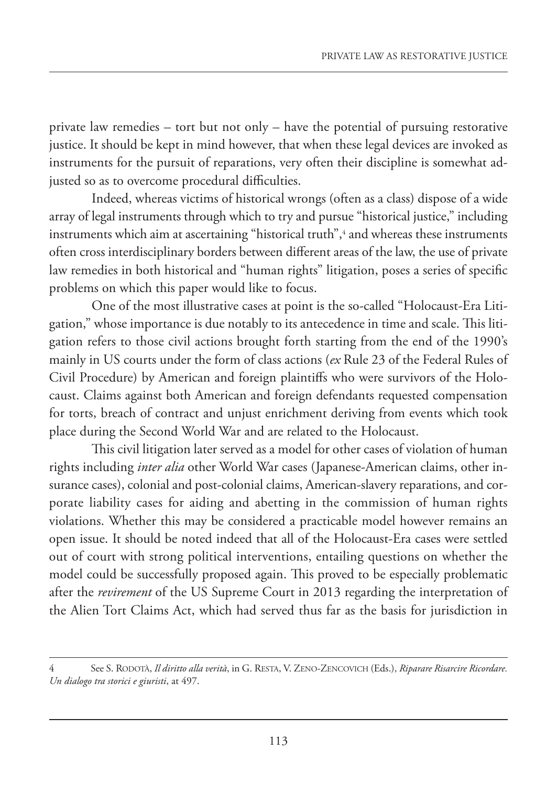private law remedies – tort but not only – have the potential of pursuing restorative justice. It should be kept in mind however, that when these legal devices are invoked as instruments for the pursuit of reparations, very often their discipline is somewhat adjusted so as to overcome procedural difficulties.

Indeed, whereas victims of historical wrongs (often as a class) dispose of a wide array of legal instruments through which to try and pursue "historical justice," including instruments which aim at ascertaining "historical truth",4 and whereas these instruments often cross interdisciplinary borders between different areas of the law, the use of private law remedies in both historical and "human rights" litigation, poses a series of specific problems on which this paper would like to focus.

One of the most illustrative cases at point is the so-called "Holocaust-Era Litigation," whose importance is due notably to its antecedence in time and scale. This litigation refers to those civil actions brought forth starting from the end of the 1990's mainly in US courts under the form of class actions (*ex* Rule 23 of the Federal Rules of Civil Procedure) by American and foreign plaintiffs who were survivors of the Holocaust. Claims against both American and foreign defendants requested compensation for torts, breach of contract and unjust enrichment deriving from events which took place during the Second World War and are related to the Holocaust.

This civil litigation later served as a model for other cases of violation of human rights including *inter alia* other World War cases (Japanese-American claims, other insurance cases), colonial and post-colonial claims, American-slavery reparations, and corporate liability cases for aiding and abetting in the commission of human rights violations. Whether this may be considered a practicable model however remains an open issue. It should be noted indeed that all of the Holocaust-Era cases were settled out of court with strong political interventions, entailing questions on whether the model could be successfully proposed again. This proved to be especially problematic after the *revirement* of the US Supreme Court in 2013 regarding the interpretation of the Alien Tort Claims Act, which had served thus far as the basis for jurisdiction in

<sup>4</sup> See S. RODOTÀ, *Il diritto alla verità*, in G. RESTA, V. ZENO-ZENCOVICH (Eds.), *Riparare Risarcire Ricordare. Un dialogo tra storici e giuristi*, at 497.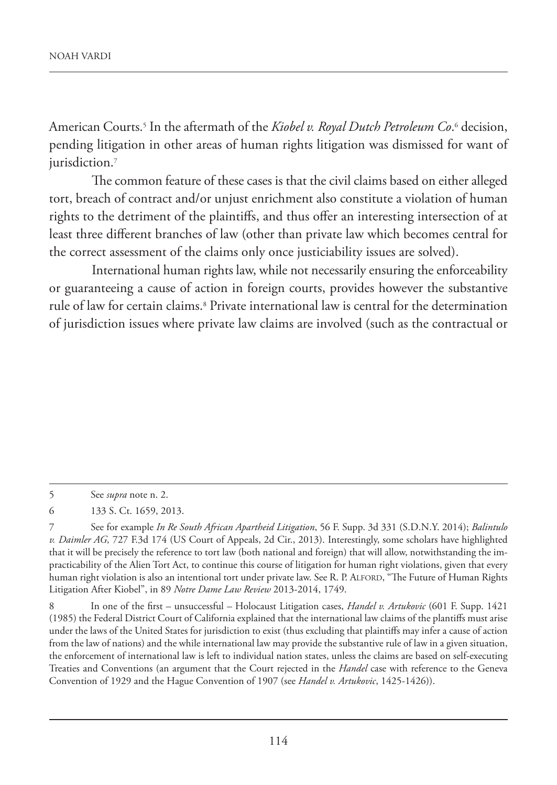American Courts.<sup>s</sup> In the aftermath of the *Kiobel v. Royal Dutch Petroleum Co*.6 decision, pending litigation in other areas of human rights litigation was dismissed for want of jurisdiction.<sup>7</sup>

The common feature of these cases is that the civil claims based on either alleged tort, breach of contract and/or unjust enrichment also constitute a violation of human rights to the detriment of the plaintiffs, and thus offer an interesting intersection of at least three different branches of law (other than private law which becomes central for the correct assessment of the claims only once justiciability issues are solved).

International human rights law, while not necessarily ensuring the enforceability or guaranteeing a cause of action in foreign courts, provides however the substantive rule of law for certain claims.8 Private international law is central for the determination of jurisdiction issues where private law claims are involved (such as the contractual or

<sup>5</sup> See *supra* note n. 2.

<sup>6</sup> 133 S. Ct. 1659, 2013.

<sup>7</sup> See for example *In Re South African Apartheid Litigation*, 56 F. Supp. 3d 331 (S.D.N.Y. 2014); *Balintulo v. Daimler AG,* 727 F.3d 174 (US Court of Appeals, 2d Cir., 2013). Interestingly, some scholars have highlighted that it will be precisely the reference to tort law (both national and foreign) that will allow, notwithstanding the impracticability of the Alien Tort Act, to continue this course of litigation for human right violations, given that every human right violation is also an intentional tort under private law. See R. P. ALFORD, "The Future of Human Rights Litigation After Kiobel", in 89 *Notre Dame Law Review* 2013-2014, 1749.

<sup>8</sup> In one of the first – unsuccessful – Holocaust Litigation cases, *Handel v. Artukovic* (601 F. Supp. 1421 (1985) the Federal District Court of California explained that the international law claims of the plantiffs must arise under the laws of the United States for jurisdiction to exist (thus excluding that plaintiffs may infer a cause of action from the law of nations) and the while international law may provide the substantive rule of law in a given situation, the enforcement of international law is left to individual nation states, unless the claims are based on self-executing Treaties and Conventions (an argument that the Court rejected in the *Handel* case with reference to the Geneva Convention of 1929 and the Hague Convention of 1907 (see *Handel v. Artukovic*, 1425-1426)).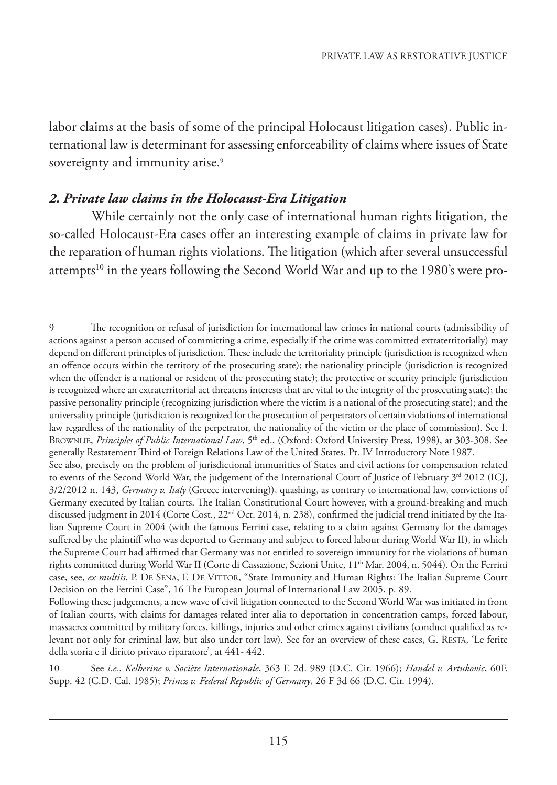labor claims at the basis of some of the principal Holocaust litigation cases). Public international law is determinant for assessing enforceability of claims where issues of State sovereignty and immunity arise.<sup>9</sup>

#### *2. Private law claims in the Holocaust-Era Litigation*

While certainly not the only case of international human rights litigation, the so-called Holocaust-Era cases offer an interesting example of claims in private law for the reparation of human rights violations. The litigation (which after several unsuccessful attempts<sup>10</sup> in the years following the Second World War and up to the 1980's were pro-

<sup>9</sup> The recognition or refusal of jurisdiction for international law crimes in national courts (admissibility of actions against a person accused of committing a crime, especially if the crime was committed extraterritorially) may depend on different principles of jurisdiction. These include the territoriality principle (jurisdiction is recognized when an offence occurs within the territory of the prosecuting state); the nationality principle (jurisdiction is recognized when the offender is a national or resident of the prosecuting state); the protective or security principle (jurisdiction is recognized where an extraterritorial act threatens interests that are vital to the integrity of the prosecuting state); the passive personality principle (recognizing jurisdiction where the victim is a national of the prosecuting state); and the universality principle (jurisdiction is recognized for the prosecution of perpetrators of certain violations of international law regardless of the nationality of the perpetrator, the nationality of the victim or the place of commission). See I. BROWNLIE, *Principles of Public International Law*, 5<sup>th</sup> ed., (Oxford: Oxford University Press, 1998), at 303-308. See generally Restatement Third of Foreign Relations Law of the United States, Pt. IV Introductory Note 1987. See also, precisely on the problem of jurisdictional immunities of States and civil actions for compensation related to events of the Second World War, the judgement of the International Court of Justice of February 3<sup>rd</sup> 2012 (ICJ, 3/2/2012 n. 143, *Germany v. Italy* (Greece intervening)), quashing, as contrary to international law, convictions of Germany executed by Italian courts. The Italian Constitutional Court however, with a ground-breaking and much discussed judgment in 2014 (Corte Cost., 22<sup>nd</sup> Oct. 2014, n. 238), confirmed the judicial trend initiated by the Italian Supreme Court in 2004 (with the famous Ferrini case, relating to a claim against Germany for the damages suffered by the plaintiff who was deported to Germany and subject to forced labour during World War II), in which the Supreme Court had affirmed that Germany was not entitled to sovereign immunity for the violations of human rights committed during World War II (Corte di Cassazione, Sezioni Unite, 11<sup>th</sup> Mar. 2004, n. 5044). On the Ferrini case, see, *ex multiis*, P. DE SENA, F. DE VITTOR, "State Immunity and Human Rights: The Italian Supreme Court Decision on the Ferrini Case", 16 The European Journal of International Law 2005, p. 89.

Following these judgements, a new wave of civil litigation connected to the Second World War was initiated in front of Italian courts, with claims for damages related inter alia to deportation in concentration camps, forced labour, massacres committed by military forces, killings, injuries and other crimes against civilians (conduct qualified as relevant not only for criminal law, but also under tort law). See for an overview of these cases, G. RESTA, 'Le ferite della storia e il diritto privato riparatore', at 441- 442.

<sup>10</sup> See *i.e.*, *Kelberine v. Sociète Internationale*, 363 F. 2d. 989 (D.C. Cir. 1966); *Handel v. Artukovic*, 60F. Supp. 42 (C.D. Cal. 1985); *Princz v. Federal Republic of Germany*, 26 F 3d 66 (D.C. Cir. 1994).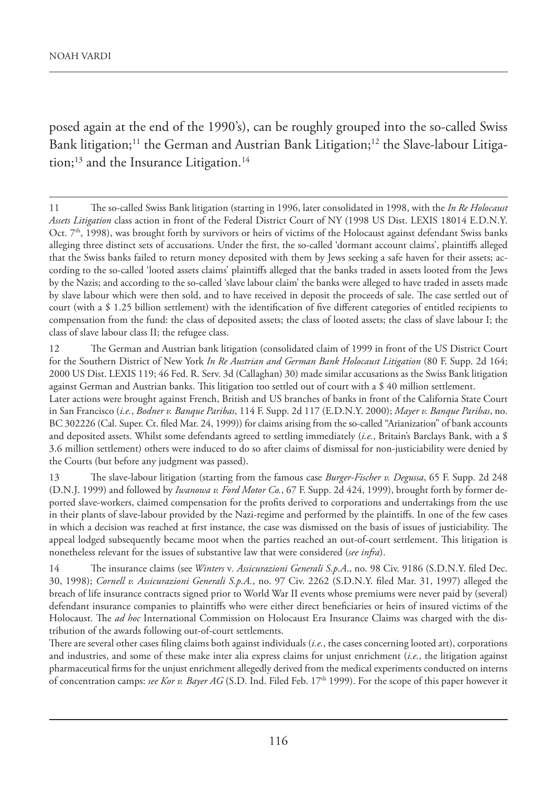posed again at the end of the 1990's), can be roughly grouped into the so-called Swiss Bank litigation;<sup>11</sup> the German and Austrian Bank Litigation;<sup>12</sup> the Slave-labour Litigation;<sup>13</sup> and the Insurance Litigation.<sup>14</sup>

<sup>11</sup> The so-called Swiss Bank litigation (starting in 1996, later consolidated in 1998, with the *In Re Holocaust Assets Litigation* class action in front of the Federal District Court of NY (1998 US Dist. LEXIS 18014 E.D.N.Y. Oct.  $7<sup>th</sup>$ , 1998), was brought forth by survivors or heirs of victims of the Holocaust against defendant Swiss banks alleging three distinct sets of accusations. Under the first, the so-called 'dormant account claims', plaintiffs alleged that the Swiss banks failed to return money deposited with them by Jews seeking a safe haven for their assets; according to the so-called 'looted assets claims' plaintiffs alleged that the banks traded in assets looted from the Jews by the Nazis; and according to the so-called 'slave labour claim' the banks were alleged to have traded in assets made by slave labour which were then sold, and to have received in deposit the proceeds of sale. The case settled out of court (with a \$ 1.25 billion settlement) with the identification of five different categories of entitled recipients to compensation from the fund: the class of deposited assets; the class of looted assets; the class of slave labour I; the class of slave labour class II; the refugee class.

<sup>12</sup> The German and Austrian bank litigation (consolidated claim of 1999 in front of the US District Court for the Southern District of New York *In Re Austrian and German Bank Holocaust Litigation* (80 F. Supp. 2d 164; 2000 US Dist. LEXIS 119; 46 Fed. R. Serv. 3d (Callaghan) 30) made similar accusations as the Swiss Bank litigation against German and Austrian banks. This litigation too settled out of court with a \$ 40 million settlement. Later actions were brought against French, British and US branches of banks in front of the California State Court in San Francisco (*i.e.*, *Bodner v. Banque Paribas*, 114 F. Supp. 2d 117 (E.D.N.Y. 2000); *Mayer v. Banque Paribas*, no. BC 302226 (Cal. Super. Ct. filed Mar. 24, 1999)) for claims arising from the so-called "Arianization" of bank accounts

and deposited assets. Whilst some defendants agreed to settling immediately (*i.e.*, Britain's Barclays Bank, with a \$ 3.6 million settlement) others were induced to do so after claims of dismissal for non-justiciability were denied by the Courts (but before any judgment was passed).

<sup>13</sup> The slave-labour litigation (starting from the famous case *Burger-Fischer v. Degussa*, 65 F. Supp. 2d 248 (D.N.J. 1999) and followed by *Iwanowa v. Ford Motor Co.*, 67 F. Supp. 2d 424, 1999), brought forth by former deported slave-workers, claimed compensation for the profits derived to corporations and undertakings from the use in their plants of slave-labour provided by the Nazi-regime and performed by the plaintiffs. In one of the few cases in which a decision was reached at first instance, the case was dismissed on the basis of issues of justiciability. The appeal lodged subsequently became moot when the parties reached an out-of-court settlement. This litigation is nonetheless relevant for the issues of substantive law that were considered (*see infra*).

<sup>14</sup> The insurance claims (see *Winters* v*. Assicurazioni Generali S.p.A*., no. 98 Civ. 9186 (S.D.N.Y. filed Dec. 30, 1998); *Cornell v. Assicurazioni Generali S.p.A.*, no. 97 Civ. 2262 (S.D.N.Y. filed Mar. 31, 1997) alleged the breach of life insurance contracts signed prior to World War II events whose premiums were never paid by (several) defendant insurance companies to plaintiffs who were either direct beneficiaries or heirs of insured victims of the Holocaust. The *ad hoc* International Commission on Holocaust Era Insurance Claims was charged with the distribution of the awards following out-of-court settlements.

There are several other cases filing claims both against individuals (*i.e.*, the cases concerning looted art), corporations and industries, and some of these make inter alia express claims for unjust enrichment (*i.e.*, the litigation against pharmaceutical firms for the unjust enrichment allegedly derived from the medical experiments conducted on interns of concentration camps: *see Kor v. Bayer AG* (S.D. Ind. Filed Feb. 17th 1999). For the scope of this paper however it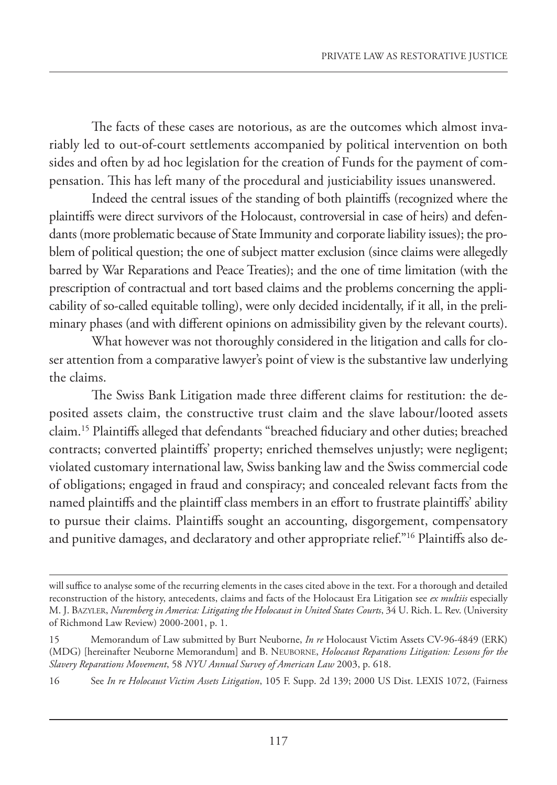The facts of these cases are notorious, as are the outcomes which almost invariably led to out-of-court settlements accompanied by political intervention on both sides and often by ad hoc legislation for the creation of Funds for the payment of compensation. This has left many of the procedural and justiciability issues unanswered.

Indeed the central issues of the standing of both plaintiffs (recognized where the plaintiffs were direct survivors of the Holocaust, controversial in case of heirs) and defendants (more problematic because of State Immunity and corporate liability issues); the problem of political question; the one of subject matter exclusion (since claims were allegedly barred by War Reparations and Peace Treaties); and the one of time limitation (with the prescription of contractual and tort based claims and the problems concerning the applicability of so-called equitable tolling), were only decided incidentally, if it all, in the preliminary phases (and with different opinions on admissibility given by the relevant courts).

What however was not thoroughly considered in the litigation and calls for closer attention from a comparative lawyer's point of view is the substantive law underlying the claims.

The Swiss Bank Litigation made three different claims for restitution: the deposited assets claim, the constructive trust claim and the slave labour/looted assets claim.15 Plaintiffs alleged that defendants "breached fiduciary and other duties; breached contracts; converted plaintiffs' property; enriched themselves unjustly; were negligent; violated customary international law, Swiss banking law and the Swiss commercial code of obligations; engaged in fraud and conspiracy; and concealed relevant facts from the named plaintiffs and the plaintiff class members in an effort to frustrate plaintiffs' ability to pursue their claims. Plaintiffs sought an accounting, disgorgement, compensatory and punitive damages, and declaratory and other appropriate relief."16 Plaintiffs also de-

will suffice to analyse some of the recurring elements in the cases cited above in the text. For a thorough and detailed reconstruction of the history, antecedents, claims and facts of the Holocaust Era Litigation see *ex multiis* especially M. J. BAZYLER, *Nuremberg in America: Litigating the Holocaust in United States Courts*, 34 U. Rich. L. Rev. (University of Richmond Law Review) 2000-2001, p. 1.

<sup>15</sup> Memorandum of Law submitted by Burt Neuborne, *In re* Holocaust Victim Assets CV-96-4849 (ERK) (MDG) [hereinafter Neuborne Memorandum] and B. NEUBORNE, *Holocaust Reparations Litigation: Lessons for the Slavery Reparations Movement*, 58 *NYU Annual Survey of American Law* 2003, p. 618.

<sup>16</sup> See *In re Holocaust Victim Assets Litigation*, 105 F. Supp. 2d 139; 2000 US Dist. LEXIS 1072, (Fairness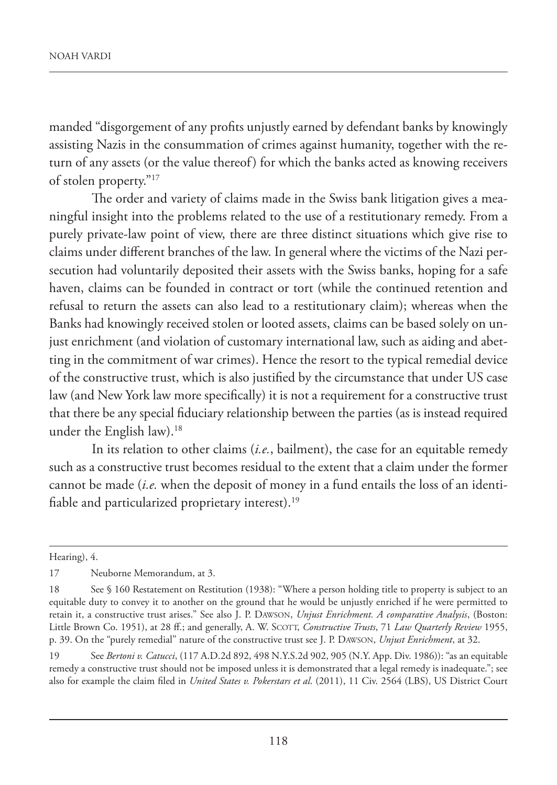manded "disgorgement of any profits unjustly earned by defendant banks by knowingly assisting Nazis in the consummation of crimes against humanity, together with the return of any assets (or the value thereof) for which the banks acted as knowing receivers of stolen property."17

The order and variety of claims made in the Swiss bank litigation gives a meaningful insight into the problems related to the use of a restitutionary remedy. From a purely private-law point of view, there are three distinct situations which give rise to claims under different branches of the law. In general where the victims of the Nazi persecution had voluntarily deposited their assets with the Swiss banks, hoping for a safe haven, claims can be founded in contract or tort (while the continued retention and refusal to return the assets can also lead to a restitutionary claim); whereas when the Banks had knowingly received stolen or looted assets, claims can be based solely on unjust enrichment (and violation of customary international law, such as aiding and abetting in the commitment of war crimes). Hence the resort to the typical remedial device of the constructive trust, which is also justified by the circumstance that under US case law (and New York law more specifically) it is not a requirement for a constructive trust that there be any special fiduciary relationship between the parties (as is instead required under the English law).<sup>18</sup>

In its relation to other claims (*i.e.*, bailment), the case for an equitable remedy such as a constructive trust becomes residual to the extent that a claim under the former cannot be made (*i.e.* when the deposit of money in a fund entails the loss of an identifiable and particularized proprietary interest).<sup>19</sup>

Hearing), 4.

<sup>17</sup> Neuborne Memorandum, at 3.

<sup>18</sup> See § 160 Restatement on Restitution (1938): "Where a person holding title to property is subject to an equitable duty to convey it to another on the ground that he would be unjustly enriched if he were permitted to retain it, a constructive trust arises." See also J. P. DAWSON, *Unjust Enrichment. A comparative Analysis*, (Boston: Little Brown Co. 1951), at 28 ff.; and generally, A. W. SCOTT, *Constructive Trusts*, 71 *Law Quarterly Review* 1955, p. 39. On the "purely remedial" nature of the constructive trust see J. P. DAWSON, *Unjust Enrichment*, at 32.

<sup>19</sup> See *Bertoni v. Catucci*, (117 A.D.2d 892, 498 N.Y.S.2d 902, 905 (N.Y. App. Div. 1986)): "as an equitable remedy a constructive trust should not be imposed unless it is demonstrated that a legal remedy is inadequate."; see also for example the claim filed in *United States v. Pokerstars et al*. (2011), 11 Civ. 2564 (LBS), US District Court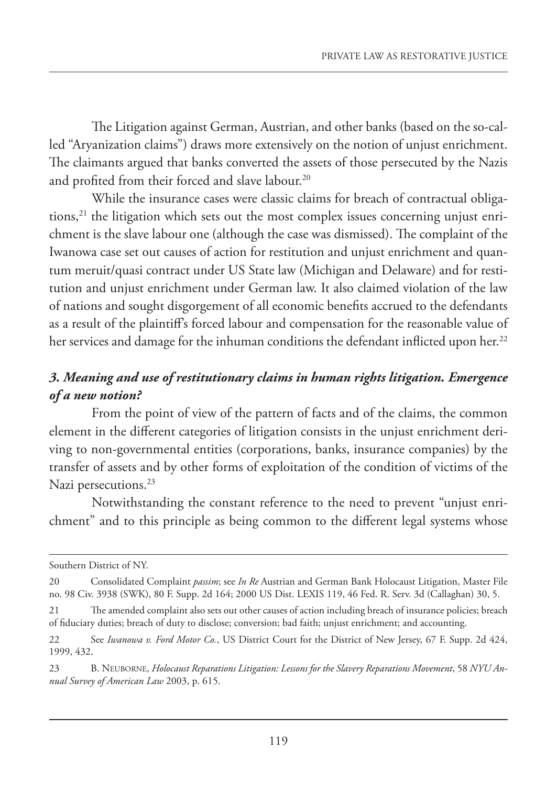The Litigation against German, Austrian, and other banks (based on the so-called "Aryanization claims") draws more extensively on the notion of unjust enrichment. The claimants argued that banks converted the assets of those persecuted by the Nazis and profited from their forced and slave labour.<sup>20</sup>

While the insurance cases were classic claims for breach of contractual obligations,<sup>21</sup> the litigation which sets out the most complex issues concerning unjust enrichment is the slave labour one (although the case was dismissed). The complaint of the Iwanowa case set out causes of action for restitution and unjust enrichment and quantum meruit/quasi contract under US State law (Michigan and Delaware) and for restitution and unjust enrichment under German law. It also claimed violation of the law of nations and sought disgorgement of all economic benefits accrued to the defendants as a result of the plaintiff's forced labour and compensation for the reasonable value of her services and damage for the inhuman conditions the defendant inflicted upon her.<sup>22</sup>

## *3. Meaning and use of restitutionary claims in human rights litigation. Emergence of a new notion?*

From the point of view of the pattern of facts and of the claims, the common element in the different categories of litigation consists in the unjust enrichment deriving to non-governmental entities (corporations, banks, insurance companies) by the transfer of assets and by other forms of exploitation of the condition of victims of the Nazi persecutions.<sup>23</sup>

Notwithstanding the constant reference to the need to prevent "unjust enrichment" and to this principle as being common to the different legal systems whose

Southern District of NY.

<sup>20</sup> Consolidated Complaint *passim*; see *In Re* Austrian and German Bank Holocaust Litigation, Master File no. 98 Civ. 3938 (SWK), 80 F. Supp. 2d 164; 2000 US Dist. LEXIS 119, 46 Fed. R. Serv. 3d (Callaghan) 30, 5.

<sup>21</sup> The amended complaint also sets out other causes of action including breach of insurance policies; breach of fiduciary duties; breach of duty to disclose; conversion; bad faith; unjust enrichment; and accounting.

<sup>22</sup> See *Iwanowa v. Ford Motor Co.*, US District Court for the District of New Jersey, 67 F. Supp. 2d 424, 1999, 432.

<sup>23</sup> B. NEUBORNE, *Holocaust Reparations Litigation: Lessons for the Slavery Reparations Movement*, 58 *NYU Annual Survey of American Law* 2003, p. 615.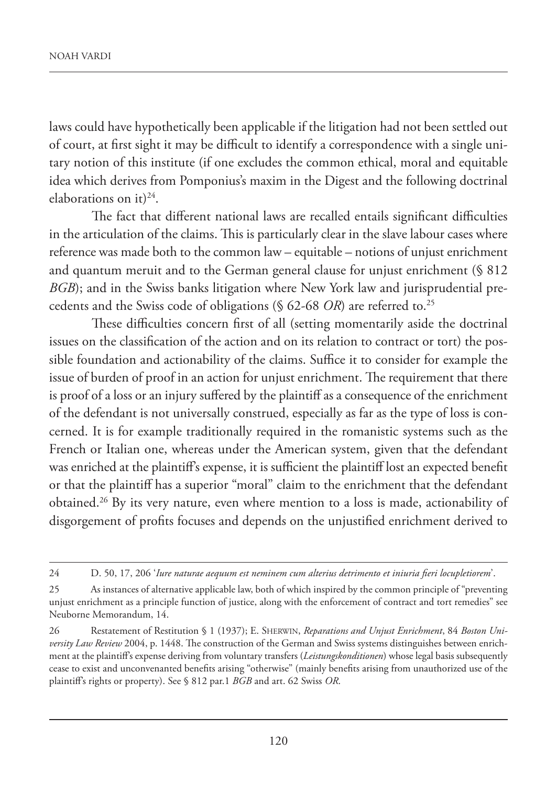laws could have hypothetically been applicable if the litigation had not been settled out of court, at first sight it may be difficult to identify a correspondence with a single unitary notion of this institute (if one excludes the common ethical, moral and equitable idea which derives from Pomponius's maxim in the Digest and the following doctrinal elaborations on it) $^{24}$ .

The fact that different national laws are recalled entails significant difficulties in the articulation of the claims. This is particularly clear in the slave labour cases where reference was made both to the common law – equitable – notions of unjust enrichment and quantum meruit and to the German general clause for unjust enrichment (§ 812 *BGB*); and in the Swiss banks litigation where New York law and jurisprudential precedents and the Swiss code of obligations (§ 62-68 *OR*) are referred to.25

These difficulties concern first of all (setting momentarily aside the doctrinal issues on the classification of the action and on its relation to contract or tort) the possible foundation and actionability of the claims. Suffice it to consider for example the issue of burden of proof in an action for unjust enrichment. The requirement that there is proof of a loss or an injury suffered by the plaintiff as a consequence of the enrichment of the defendant is not universally construed, especially as far as the type of loss is concerned. It is for example traditionally required in the romanistic systems such as the French or Italian one, whereas under the American system, given that the defendant was enriched at the plaintiff's expense, it is sufficient the plaintiff lost an expected benefit or that the plaintiff has a superior "moral" claim to the enrichment that the defendant obtained.26 By its very nature, even where mention to a loss is made, actionability of disgorgement of profits focuses and depends on the unjustified enrichment derived to

<sup>24</sup> D. 50, 17, 206 '*Iure naturae aequum est neminem cum alterius detrimento et iniuria fieri locupletiorem*'.

<sup>25</sup> As instances of alternative applicable law, both of which inspired by the common principle of "preventing unjust enrichment as a principle function of justice, along with the enforcement of contract and tort remedies" see Neuborne Memorandum, 14.

<sup>26</sup> Restatement of Restitution § 1 (1937); E. SHERWIN, *Reparations and Unjust Enrichment*, 84 *Boston University Law Review* 2004, p. 1448. The construction of the German and Swiss systems distinguishes between enrichment at the plaintiff's expense deriving from voluntary transfers (*Leistungskonditionen*) whose legal basis subsequently cease to exist and unconvenanted benefits arising "otherwise" (mainly benefits arising from unauthorized use of the plaintiff's rights or property). See § 812 par.1 *BGB* and art. 62 Swiss *OR*.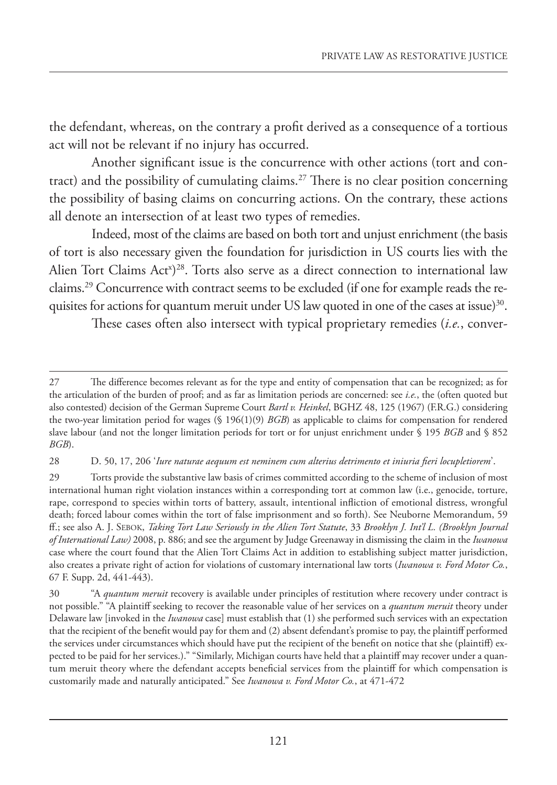the defendant, whereas, on the contrary a profit derived as a consequence of a tortious act will not be relevant if no injury has occurred.

Another significant issue is the concurrence with other actions (tort and contract) and the possibility of cumulating claims.27 There is no clear position concerning the possibility of basing claims on concurring actions. On the contrary, these actions all denote an intersection of at least two types of remedies.

Indeed, most of the claims are based on both tort and unjust enrichment (the basis of tort is also necessary given the foundation for jurisdiction in US courts lies with the Alien Tort Claims Act<sup>x</sup>)<sup>28</sup>. Torts also serve as a direct connection to international law claims.29 Concurrence with contract seems to be excluded (if one for example reads the requisites for actions for quantum meruit under US law quoted in one of the cases at issue)<sup>30</sup>.

These cases often also intersect with typical proprietary remedies (*i.e.*, conver-

<sup>27</sup> The difference becomes relevant as for the type and entity of compensation that can be recognized; as for the articulation of the burden of proof; and as far as limitation periods are concerned: see *i.e.*, the (often quoted but also contested) decision of the German Supreme Court *Bartl v. Heinkel*, BGHZ 48, 125 (1967) (F.R.G.) considering the two-year limitation period for wages (§ 196(1)(9) *BGB*) as applicable to claims for compensation for rendered slave labour (and not the longer limitation periods for tort or for unjust enrichment under § 195 *BGB* and § 852 *BGB*).

<sup>28</sup> D. 50, 17, 206 '*Iure naturae aequum est neminem cum alterius detrimento et iniuria fieri locupletiorem*'.

<sup>29</sup> Torts provide the substantive law basis of crimes committed according to the scheme of inclusion of most international human right violation instances within a corresponding tort at common law (i.e., genocide, torture, rape, correspond to species within torts of battery, assault, intentional infliction of emotional distress, wrongful death; forced labour comes within the tort of false imprisonment and so forth). See Neuborne Memorandum, 59 ff.; see also A. J. SEBOK, *Taking Tort Law Seriously in the Alien Tort Statute*, 33 *Brooklyn J. Int'l L. (Brooklyn Journal of International Law)* 2008, p. 886; and see the argument by Judge Greenaway in dismissing the claim in the *Iwanowa* case where the court found that the Alien Tort Claims Act in addition to establishing subject matter jurisdiction, also creates a private right of action for violations of customary international law torts (*Iwanowa v. Ford Motor Co.*, 67 F. Supp. 2d, 441-443).

<sup>30</sup> "A *quantum meruit* recovery is available under principles of restitution where recovery under contract is not possible." "A plaintiff seeking to recover the reasonable value of her services on a *quantum meruit* theory under Delaware law [invoked in the *Iwanowa* case] must establish that (1) she performed such services with an expectation that the recipient of the benefit would pay for them and (2) absent defendant's promise to pay, the plaintiff performed the services under circumstances which should have put the recipient of the benefit on notice that she (plaintiff) expected to be paid for her services.)." "Similarly, Michigan courts have held that a plaintiff may recover under a quantum meruit theory where the defendant accepts beneficial services from the plaintiff for which compensation is customarily made and naturally anticipated." See *Iwanowa v. Ford Motor Co.*, at 471-472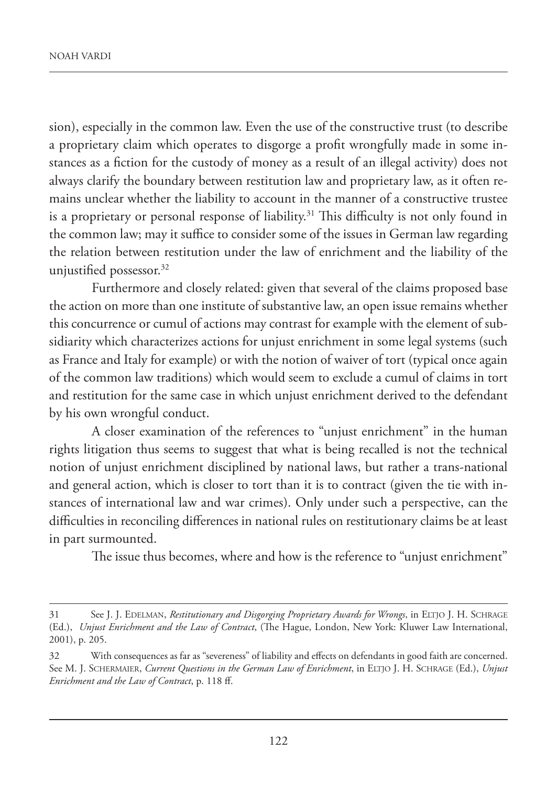sion), especially in the common law. Even the use of the constructive trust (to describe a proprietary claim which operates to disgorge a profit wrongfully made in some instances as a fiction for the custody of money as a result of an illegal activity) does not always clarify the boundary between restitution law and proprietary law, as it often remains unclear whether the liability to account in the manner of a constructive trustee is a proprietary or personal response of liability.<sup>31</sup> This difficulty is not only found in the common law; may it suffice to consider some of the issues in German law regarding the relation between restitution under the law of enrichment and the liability of the unjustified possessor.<sup>32</sup>

Furthermore and closely related: given that several of the claims proposed base the action on more than one institute of substantive law, an open issue remains whether this concurrence or cumul of actions may contrast for example with the element of subsidiarity which characterizes actions for unjust enrichment in some legal systems (such as France and Italy for example) or with the notion of waiver of tort (typical once again of the common law traditions) which would seem to exclude a cumul of claims in tort and restitution for the same case in which unjust enrichment derived to the defendant by his own wrongful conduct.

A closer examination of the references to "unjust enrichment" in the human rights litigation thus seems to suggest that what is being recalled is not the technical notion of unjust enrichment disciplined by national laws, but rather a trans-national and general action, which is closer to tort than it is to contract (given the tie with instances of international law and war crimes). Only under such a perspective, can the difficulties in reconciling differences in national rules on restitutionary claims be at least in part surmounted.

The issue thus becomes, where and how is the reference to "unjust enrichment"

<sup>31</sup> See J. J. EDELMAN, *Restitutionary and Disgorging Proprietary Awards for Wrongs*, in ELTJO J. H. SCHRAGE (Ed.), *Unjust Enrichment and the Law of Contract*, (The Hague, London, New York: Kluwer Law International, 2001), p. 205.

<sup>32</sup> With consequences as far as "severeness" of liability and effects on defendants in good faith are concerned. See M. J. SCHERMAIER, *Current Questions in the German Law of Enrichment*, in ELTJO J. H. SCHRAGE (Ed.), *Unjust Enrichment and the Law of Contract*, p. 118 ff.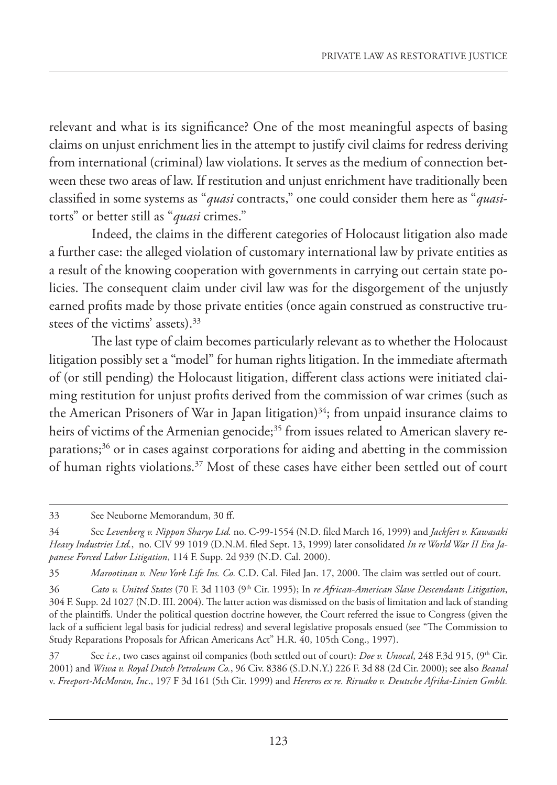relevant and what is its significance? One of the most meaningful aspects of basing claims on unjust enrichment lies in the attempt to justify civil claims for redress deriving from international (criminal) law violations. It serves as the medium of connection between these two areas of law. If restitution and unjust enrichment have traditionally been classified in some systems as "*quasi* contracts," one could consider them here as "*quasi*torts" or better still as "*quasi* crimes."

Indeed, the claims in the different categories of Holocaust litigation also made a further case: the alleged violation of customary international law by private entities as a result of the knowing cooperation with governments in carrying out certain state policies. The consequent claim under civil law was for the disgorgement of the unjustly earned profits made by those private entities (once again construed as constructive trustees of the victims' assets).<sup>33</sup>

The last type of claim becomes particularly relevant as to whether the Holocaust litigation possibly set a "model" for human rights litigation. In the immediate aftermath of (or still pending) the Holocaust litigation, different class actions were initiated claiming restitution for unjust profits derived from the commission of war crimes (such as the American Prisoners of War in Japan litigation) $34$ ; from unpaid insurance claims to heirs of victims of the Armenian genocide;<sup>35</sup> from issues related to American slavery reparations;36 or in cases against corporations for aiding and abetting in the commission of human rights violations.<sup>37</sup> Most of these cases have either been settled out of court

<sup>33</sup> See Neuborne Memorandum, 30 ff.

<sup>34</sup> See *Levenberg v. Nippon Sharyo Ltd.* no. C-99-1554 (N.D. filed March 16, 1999) and *Jackfert v. Kawasaki Heavy Industries Ltd.*, no. CIV 99 1019 (D.N.M. filed Sept. 13, 1999) later consolidated *In re World War II Era Japanese Forced Labor Litigation*, 114 F. Supp. 2d 939 (N.D. Cal. 2000).

<sup>35</sup> *Marootinan v. New York Life Ins. Co.* C.D. Cal. Filed Jan. 17, 2000. The claim was settled out of court.

<sup>36</sup> *Cato v. United States* (70 F. 3d 1103 (9th Cir. 1995); In *re African-American Slave Descendants Litigation*, 304 F. Supp. 2d 1027 (N.D. III. 2004). The latter action was dismissed on the basis of limitation and lack of standing of the plaintiffs. Under the political question doctrine however, the Court referred the issue to Congress (given the lack of a sufficient legal basis for judicial redress) and several legislative proposals ensued (see "The Commission to Study Reparations Proposals for African Americans Act" H.R. 40, 105th Cong., 1997).

<sup>37</sup> See *i.e.*, two cases against oil companies (both settled out of court): *Doe v. Unocal*, 248 F.3d 915, (9th Cir. 2001) and *Wiwa v. Royal Dutch Petroleum Co.*, 96 Civ. 8386 (S.D.N.Y.) 226 F. 3d 88 (2d Cir. 2000); see also *Beanal* v. *Freeport-McMoran, Inc*., 197 F 3d 161 (5th Cir. 1999) and *Hereros ex re. Riruako v. Deutsche Afrika-Linien Gmblt.*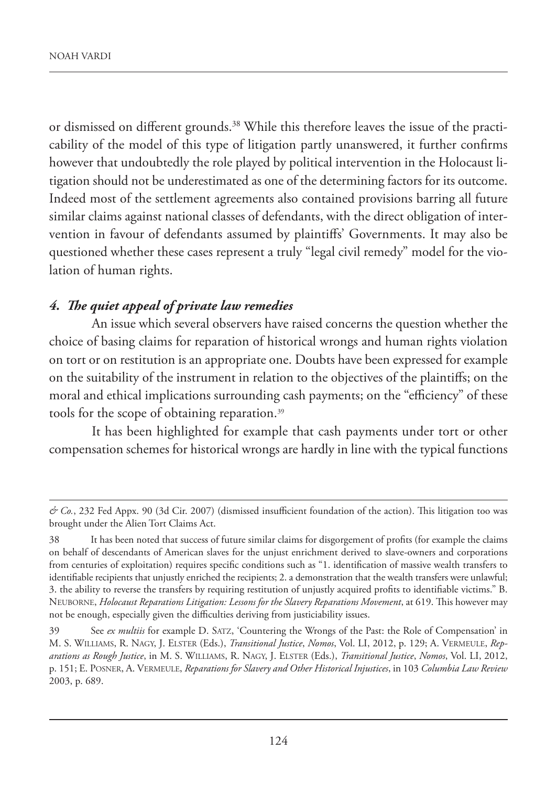or dismissed on different grounds.<sup>38</sup> While this therefore leaves the issue of the practicability of the model of this type of litigation partly unanswered, it further confirms however that undoubtedly the role played by political intervention in the Holocaust litigation should not be underestimated as one of the determining factors for its outcome. Indeed most of the settlement agreements also contained provisions barring all future similar claims against national classes of defendants, with the direct obligation of intervention in favour of defendants assumed by plaintiffs' Governments. It may also be questioned whether these cases represent a truly "legal civil remedy" model for the violation of human rights.

#### *4. The quiet appeal of private law remedies*

An issue which several observers have raised concerns the question whether the choice of basing claims for reparation of historical wrongs and human rights violation on tort or on restitution is an appropriate one. Doubts have been expressed for example on the suitability of the instrument in relation to the objectives of the plaintiffs; on the moral and ethical implications surrounding cash payments; on the "efficiency" of these tools for the scope of obtaining reparation.39

It has been highlighted for example that cash payments under tort or other compensation schemes for historical wrongs are hardly in line with the typical functions

*<sup>&</sup>amp; Co.*, 232 Fed Appx. 90 (3d Cir. 2007) (dismissed insufficient foundation of the action). This litigation too was brought under the Alien Tort Claims Act.

<sup>38</sup> It has been noted that success of future similar claims for disgorgement of profits (for example the claims on behalf of descendants of American slaves for the unjust enrichment derived to slave-owners and corporations from centuries of exploitation) requires specific conditions such as "1. identification of massive wealth transfers to identifiable recipients that unjustly enriched the recipients; 2. a demonstration that the wealth transfers were unlawful; 3. the ability to reverse the transfers by requiring restitution of unjustly acquired profits to identifiable victims." B. NEUBORNE, *Holocaust Reparations Litigation: Lessons for the Slavery Reparations Movement*, at 619. This however may not be enough, especially given the difficulties deriving from justiciability issues.

<sup>39</sup> See *ex multiis* for example D. SATZ, 'Countering the Wrongs of the Past: the Role of Compensation' in M. S. WILLIAMS, R. NAGY, J. ELSTER (Eds.), *Transitional Justice*, *Nomos*, Vol. LI, 2012, p. 129; A. VERMEULE, *Reparations as Rough Justice*, in M. S. WILLIAMS, R. NAGY, J. ELSTER (Eds.), *Transitional Justice*, *Nomos*, Vol. LI, 2012, p. 151; E. POSNER, A. VERMEULE, *Reparations for Slavery and Other Historical Injustices*, in 103 *Columbia Law Review* 2003, p. 689.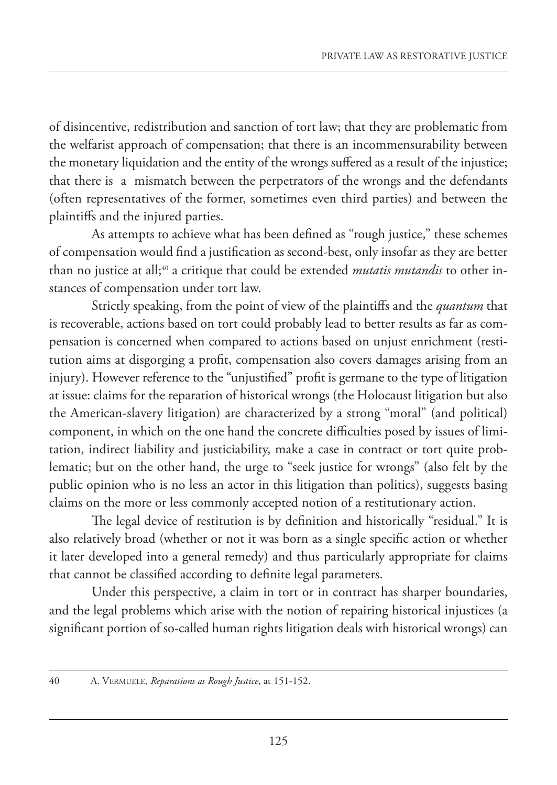of disincentive, redistribution and sanction of tort law; that they are problematic from the welfarist approach of compensation; that there is an incommensurability between the monetary liquidation and the entity of the wrongs suffered as a result of the injustice; that there is a mismatch between the perpetrators of the wrongs and the defendants (often representatives of the former, sometimes even third parties) and between the plaintiffs and the injured parties.

As attempts to achieve what has been defined as "rough justice," these schemes of compensation would find a justification as second-best, only insofar as they are better than no justice at all;<sup>40</sup> a critique that could be extended *mutatis mutandis* to other instances of compensation under tort law.

Strictly speaking, from the point of view of the plaintiffs and the *quantum* that is recoverable, actions based on tort could probably lead to better results as far as compensation is concerned when compared to actions based on unjust enrichment (restitution aims at disgorging a profit, compensation also covers damages arising from an injury). However reference to the "unjustified" profit is germane to the type of litigation at issue: claims for the reparation of historical wrongs (the Holocaust litigation but also the American-slavery litigation) are characterized by a strong "moral" (and political) component, in which on the one hand the concrete difficulties posed by issues of limitation, indirect liability and justiciability, make a case in contract or tort quite problematic; but on the other hand, the urge to "seek justice for wrongs" (also felt by the public opinion who is no less an actor in this litigation than politics), suggests basing claims on the more or less commonly accepted notion of a restitutionary action.

The legal device of restitution is by definition and historically "residual." It is also relatively broad (whether or not it was born as a single specific action or whether it later developed into a general remedy) and thus particularly appropriate for claims that cannot be classified according to definite legal parameters.

Under this perspective, a claim in tort or in contract has sharper boundaries, and the legal problems which arise with the notion of repairing historical injustices (a significant portion of so-called human rights litigation deals with historical wrongs) can

<sup>40</sup> A. VERMUELE, *Reparations as Rough Justice*, at 151-152.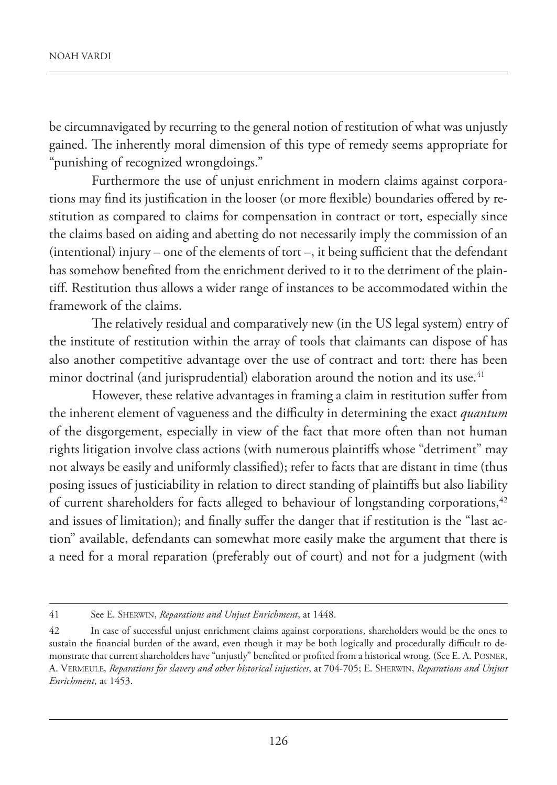be circumnavigated by recurring to the general notion of restitution of what was unjustly gained. The inherently moral dimension of this type of remedy seems appropriate for "punishing of recognized wrongdoings."

Furthermore the use of unjust enrichment in modern claims against corporations may find its justification in the looser (or more flexible) boundaries offered by restitution as compared to claims for compensation in contract or tort, especially since the claims based on aiding and abetting do not necessarily imply the commission of an (intentional) injury – one of the elements of tort –, it being sufficient that the defendant has somehow benefited from the enrichment derived to it to the detriment of the plaintiff. Restitution thus allows a wider range of instances to be accommodated within the framework of the claims.

The relatively residual and comparatively new (in the US legal system) entry of the institute of restitution within the array of tools that claimants can dispose of has also another competitive advantage over the use of contract and tort: there has been minor doctrinal (and jurisprudential) elaboration around the notion and its use.<sup>41</sup>

However, these relative advantages in framing a claim in restitution suffer from the inherent element of vagueness and the difficulty in determining the exact *quantum* of the disgorgement, especially in view of the fact that more often than not human rights litigation involve class actions (with numerous plaintiffs whose "detriment" may not always be easily and uniformly classified); refer to facts that are distant in time (thus posing issues of justiciability in relation to direct standing of plaintiffs but also liability of current shareholders for facts alleged to behaviour of longstanding corporations,<sup>42</sup> and issues of limitation); and finally suffer the danger that if restitution is the "last action" available, defendants can somewhat more easily make the argument that there is a need for a moral reparation (preferably out of court) and not for a judgment (with

<sup>41</sup> See E. SHERWIN, *Reparations and Unjust Enrichment*, at 1448.

<sup>42</sup> In case of successful unjust enrichment claims against corporations, shareholders would be the ones to sustain the financial burden of the award, even though it may be both logically and procedurally difficult to demonstrate that current shareholders have "unjustly" benefited or profited from a historical wrong. (See E. A. POSNER, A. VERMEULE, *Reparations for slavery and other historical injustices*, at 704-705; E. SHERWIN, *Reparations and Unjust Enrichment*, at 1453.